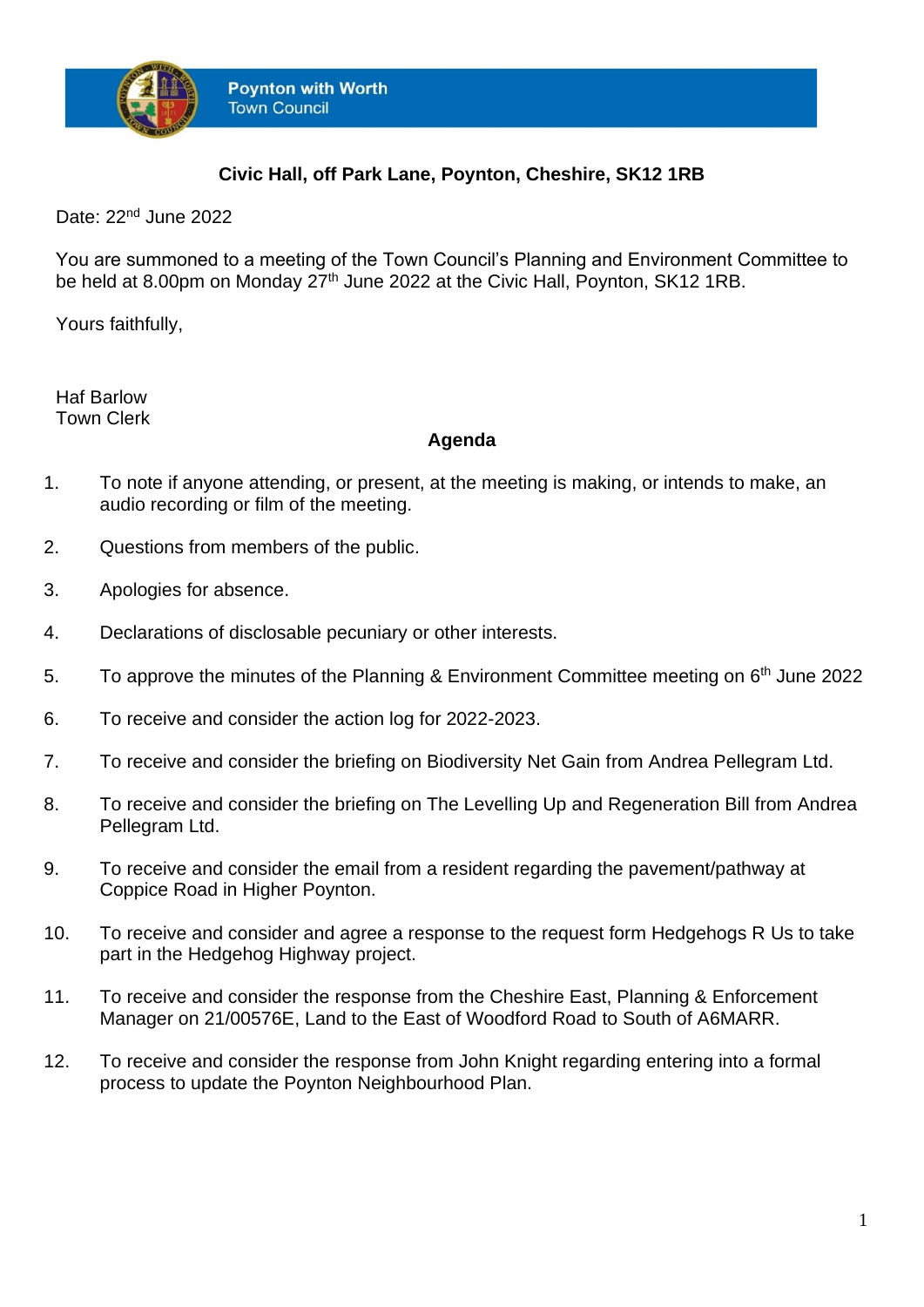

## **Civic Hall, off Park Lane, Poynton, Cheshire, SK12 1RB**

Date: 22<sup>nd</sup> June 2022

You are summoned to a meeting of the Town Council's Planning and Environment Committee to be held at 8.00pm on Monday 27<sup>th</sup> June 2022 at the Civic Hall, Poynton, SK12 1RB.

Yours faithfully,

Haf Barlow Town Clerk

## **Agenda**

- 1. To note if anyone attending, or present, at the meeting is making, or intends to make, an audio recording or film of the meeting.
- 2. Questions from members of the public.
- 3. Apologies for absence.
- 4. Declarations of disclosable pecuniary or other interests.
- 5. To approve the minutes of the Planning & Environment Committee meeting on 6<sup>th</sup> June 2022
- 6. To receive and consider the action log for 2022-2023.
- 7. To receive and consider the briefing on Biodiversity Net Gain from Andrea Pellegram Ltd.
- 8. To receive and consider the briefing on The Levelling Up and Regeneration Bill from Andrea Pellegram Ltd.
- 9. To receive and consider the email from a resident regarding the pavement/pathway at Coppice Road in Higher Poynton.
- 10. To receive and consider and agree a response to the request form Hedgehogs R Us to take part in the Hedgehog Highway project.
- 11. To receive and consider the response from the Cheshire East, Planning & Enforcement Manager on 21/00576E, Land to the East of Woodford Road to South of A6MARR.
- 12. To receive and consider the response from John Knight regarding entering into a formal process to update the Poynton Neighbourhood Plan.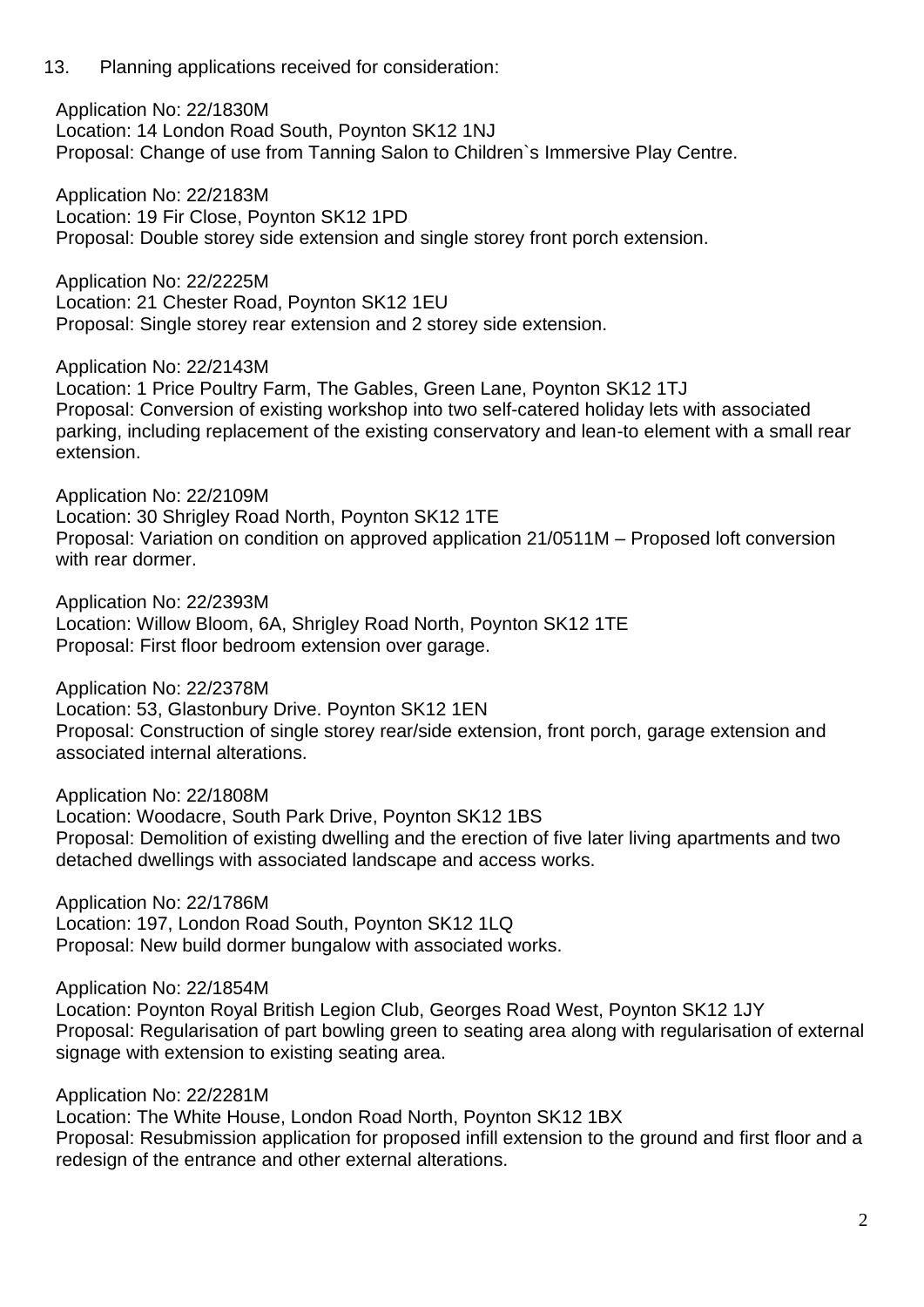13. Planning applications received for consideration:

Application No: 22/1830M Location: 14 London Road South, Poynton SK12 1NJ Proposal: Change of use from Tanning Salon to Children`s Immersive Play Centre.

Application No: 22/2183M Location: 19 Fir Close, Poynton SK12 1PD Proposal: Double storey side extension and single storey front porch extension.

Application No: 22/2225M Location: 21 Chester Road, Poynton SK12 1EU Proposal: Single storey rear extension and 2 storey side extension.

Application No: 22/2143M

Location: 1 Price Poultry Farm, The Gables, Green Lane, Poynton SK12 1TJ Proposal: Conversion of existing workshop into two self-catered holiday lets with associated parking, including replacement of the existing conservatory and lean-to element with a small rear extension.

Application No: 22/2109M Location: 30 Shrigley Road North, Poynton SK12 1TE Proposal: Variation on condition on approved application 21/0511M – Proposed loft conversion with rear dormer.

Application No: 22/2393M Location: Willow Bloom, 6A, Shrigley Road North, Poynton SK12 1TE Proposal: First floor bedroom extension over garage.

Application No: 22/2378M Location: 53, Glastonbury Drive. Poynton SK12 1EN

Proposal: Construction of single storey rear/side extension, front porch, garage extension and associated internal alterations.

Application No: 22/1808M

Location: Woodacre, South Park Drive, Poynton SK12 1BS Proposal: Demolition of existing dwelling and the erection of five later living apartments and two detached dwellings with associated landscape and access works.

Application No: 22/1786M Location: 197, London Road South, Poynton SK12 1LQ Proposal: New build dormer bungalow with associated works.

Application No: 22/1854M

Location: Poynton Royal British Legion Club, Georges Road West, Poynton SK12 1JY Proposal: Regularisation of part bowling green to seating area along with regularisation of external signage with extension to existing seating area.

Application No: 22/2281M

Location: The White House, London Road North, Poynton SK12 1BX Proposal: Resubmission application for proposed infill extension to the ground and first floor and a redesign of the entrance and other external alterations.